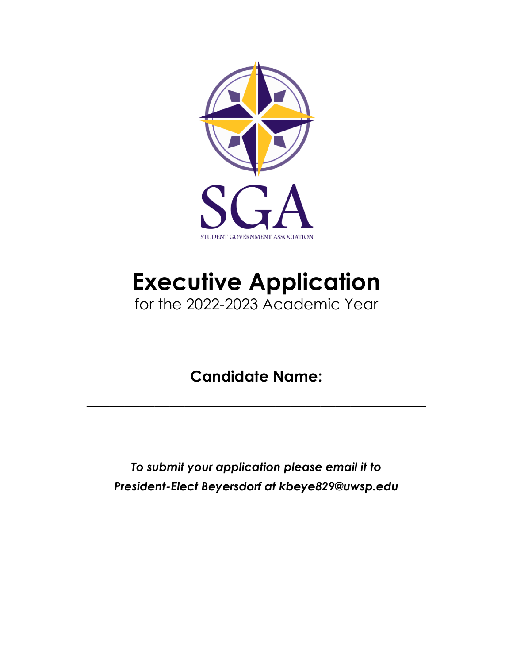

# **Executive Application** for the 2022-2023 Academic Year

## **Candidate Name:**

 $\overline{\phantom{a}}$  , and the contract of the contract of the contract of the contract of the contract of the contract of the contract of the contract of the contract of the contract of the contract of the contract of the contrac

*To submit your application please email it to President-Elect Beyersdorf at kbeye829@uwsp.edu*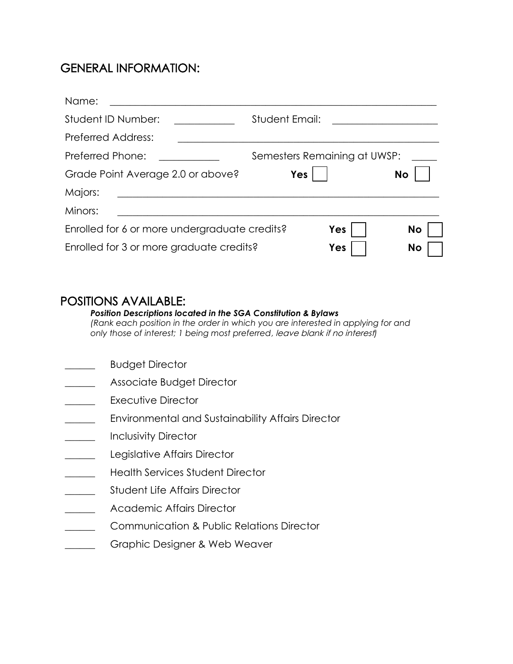## GENERAL INFORMATION:

| Name:                                         |                              |
|-----------------------------------------------|------------------------------|
| Student ID Number:                            | <b>Student Email:</b>        |
| <b>Preferred Address:</b>                     |                              |
| Preferred Phone:                              | Semesters Remaining at UWSP: |
| Grade Point Average 2.0 or above?             | Yes<br><b>No</b>             |
| Majors:                                       |                              |
| Minors:                                       |                              |
| Enrolled for 6 or more undergraduate credits? | No<br>Yes                    |
| Enrolled for 3 or more graduate credits?      | <b>No</b><br>Yes             |

### POSITIONS AVAILABLE:

#### *Position Descriptions located in the SGA Constitution & Bylaws*

*(Rank each position in the order in which you are interested in applying for and only those of interest; 1 being most preferred*, leave blank if no interest*)*

- **Example 3 Budget Director**
- **Example 25 Associate Budget Director**
- \_\_\_\_\_\_ Executive Director
- **EXECTED** Environmental and Sustainability Affairs Director
- \_\_\_\_\_\_ Inclusivity Director
- **Legislative Affairs Director**
- **Example 3** Health Services Student Director
- **Example 3 Student Life Affairs Director**
- Academic Affairs Director
- \_\_\_\_\_\_ Communication & Public Relations Director
- **Example 2** Graphic Designer & Web Weaver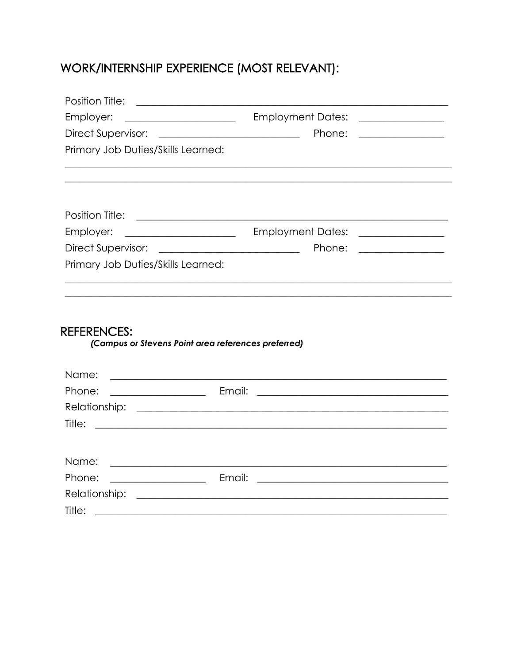## WORK/INTERNSHIP EXPERIENCE (MOST RELEVANT):

| Position Title: <u>____________________________</u> |                                                                                                                                                                                                                                                                           |
|-----------------------------------------------------|---------------------------------------------------------------------------------------------------------------------------------------------------------------------------------------------------------------------------------------------------------------------------|
| Employer:                                           | Employment Dates: _______________<br><u> 1980 - Johann Barbara, martin eta politikar</u>                                                                                                                                                                                  |
| Direct Supervisor:                                  | Phone:                                                                                                                                                                                                                                                                    |
| Primary Job Duties/Skills Learned:                  |                                                                                                                                                                                                                                                                           |
|                                                     |                                                                                                                                                                                                                                                                           |
|                                                     |                                                                                                                                                                                                                                                                           |
| Employer:                                           | Employment Dates: _______________<br><u> 1999 - Johann Harry Harry Harry Harry Harry Harry Harry Harry Harry Harry Harry Harry Harry Harry Harry Harry Harry Harry Harry Harry Harry Harry Harry Harry Harry Harry Harry Harry Harry Harry Harry Harry Harry Harry Ha</u> |
|                                                     | Phone: <u>______________</u>                                                                                                                                                                                                                                              |
| Primary Job Duties/Skills Learned:                  |                                                                                                                                                                                                                                                                           |
| <b>REFERENCES:</b><br>Name:                         | (Campus or Stevens Point area references preferred)                                                                                                                                                                                                                       |
| Phone:                                              | <u> 1989 - Johann Stoff, amerikansk politiker (d. 1989)</u>                                                                                                                                                                                                               |
|                                                     |                                                                                                                                                                                                                                                                           |
| Title:                                              | <u> 1989 - Jan Samuel Barbara, martin da shekara ta 1989 - An tsara tsara tsara tsara tsara tsara tsara tsara ts</u>                                                                                                                                                      |
| Name:                                               | <u> 1989 - Johann Barbara, martin amerikan basal dan berasal dalam basal dan berasal dalam basal dalam basal dala</u>                                                                                                                                                     |
| <b>Email:</b> Email:<br>Phone:                      |                                                                                                                                                                                                                                                                           |
|                                                     |                                                                                                                                                                                                                                                                           |
| Tille:                                              | <u> 1989 - Johann Stein, marwolaethau a bhann an t-Amhair Aonaichte an t-Amhair Aonaichte an t-Amhair Aonaichte a</u>                                                                                                                                                     |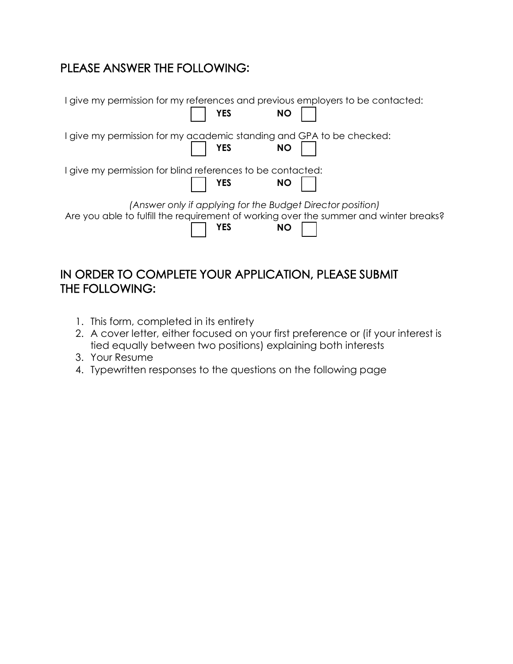## PLEASE ANSWER THE FOLLOWING**:**

| I give my permission for my references and previous employers to be contacted:<br><b>YES</b>                                                               | <b>NO</b> |
|------------------------------------------------------------------------------------------------------------------------------------------------------------|-----------|
| I give my permission for my academic standing and GPA to be checked:<br><b>YES</b><br><b>NO</b>                                                            |           |
| I give my permission for blind references to be contacted:<br><b>YES</b>                                                                                   | <b>NO</b> |
| (Answer only if applying for the Budget Director position)<br>Are you able to fulfill the requirement of working over the summer and winter breaks?<br>YES | <b>NO</b> |

## IN ORDER TO COMPLETE YOUR APPLICATION, PLEASE SUBMIT THE FOLLOWING**:**

- 1. This form, completed in its entirety
- 2. A cover letter, either focused on your first preference or (if your interest is tied equally between two positions) explaining both interests
- 3. Your Resume
- 4. Typewritten responses to the questions on the following page